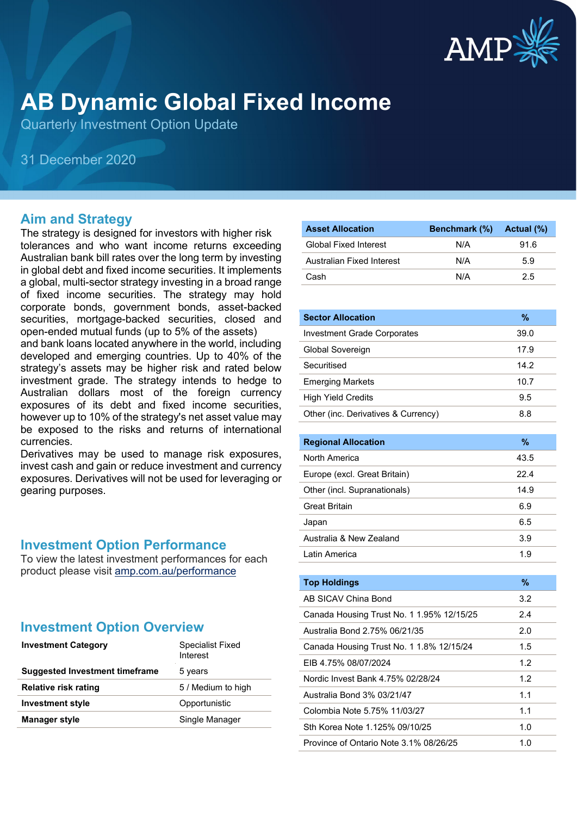

# **AB Dynamic Global Fixed Income**

Quarterly Investment Option Update

### 31 December 2020

#### **Aim and Strategy**

The strategy is designed for investors with higher risk tolerances and who want income returns exceeding Australian bank bill rates over the long term by investing in global debt and fixed income securities. It implements a global, multi-sector strategy investing in a broad range of fixed income securities. The strategy may hold corporate bonds, government bonds, asset-backed securities, mortgage-backed securities, closed and open-ended mutual funds (up to 5% of the assets)

and bank loans located anywhere in the world, including developed and emerging countries. Up to 40% of the strategy's assets may be higher risk and rated below investment grade. The strategy intends to hedge to Australian dollars most of the foreign currency exposures of its debt and fixed income securities, however up to 10% of the strategy's net asset value may be exposed to the risks and returns of international currencies.

Derivatives may be used to manage risk exposures, invest cash and gain or reduce investment and currency exposures. Derivatives will not be used for leveraging or gearing purposes.

#### **Investment Option Performance**

To view the latest investment performances for each product please visit [amp.com.au/performance](https://www.amp.com.au/performance)

#### **Investment Option Overview**

| <b>Investment Category</b>            | Specialist Fixed<br>Interest |  |
|---------------------------------------|------------------------------|--|
| <b>Suggested Investment timeframe</b> | 5 years                      |  |
| <b>Relative risk rating</b>           | 5 / Medium to high           |  |
| <b>Investment style</b>               | Opportunistic                |  |
| <b>Manager style</b>                  | Single Manager               |  |

| <b>Asset Allocation</b>      | Benchmark (%) Actual (%) |      |
|------------------------------|--------------------------|------|
| <b>Global Fixed Interest</b> | N/A                      | 91.6 |
| Australian Fixed Interest    | N/A                      | 5.9  |
| Cash                         | N/A                      | 25   |

| <b>Sector Allocation</b>                  | %    |
|-------------------------------------------|------|
| <b>Investment Grade Corporates</b>        | 39.0 |
| Global Sovereign                          | 17.9 |
| Securitised                               | 14.2 |
| <b>Emerging Markets</b>                   | 10.7 |
| <b>High Yield Credits</b>                 | 9.5  |
| Other (inc. Derivatives & Currency)       | 8.8  |
|                                           |      |
| <b>Regional Allocation</b>                | %    |
| North America                             | 43.5 |
| Europe (excl. Great Britain)              | 22.4 |
| Other (incl. Supranationals)              | 14.9 |
| <b>Great Britain</b>                      | 6.9  |
| Japan                                     | 6.5  |
| Australia & New Zealand                   | 3.9  |
| I atin America                            | 1.9  |
|                                           |      |
| <b>Top Holdings</b>                       | %    |
| AB SICAV China Bond                       | 3.2  |
| Canada Housing Trust No. 1 1.95% 12/15/25 | 2.4  |
| Australia Bond 2.75% 06/21/35             | 2.0  |
| Canada Housing Trust No. 1 1.8% 12/15/24  | 1.5  |
| EIB 4.75% 08/07/2024                      | 1.2  |
|                                           |      |

| CID 4.7 J 70 UO/UTZUZ4                 | $\overline{L}$   |
|----------------------------------------|------------------|
| Nordic Invest Bank 4.75% 02/28/24      | 1.2 <sub>2</sub> |
| Australia Bond 3% 03/21/47             | 11               |
| Colombia Note 5.75% 11/03/27           | 11               |
| Sth Korea Note 1.125% 09/10/25         | 1.0              |
| Province of Ontario Note 3.1% 08/26/25 | 1 በ              |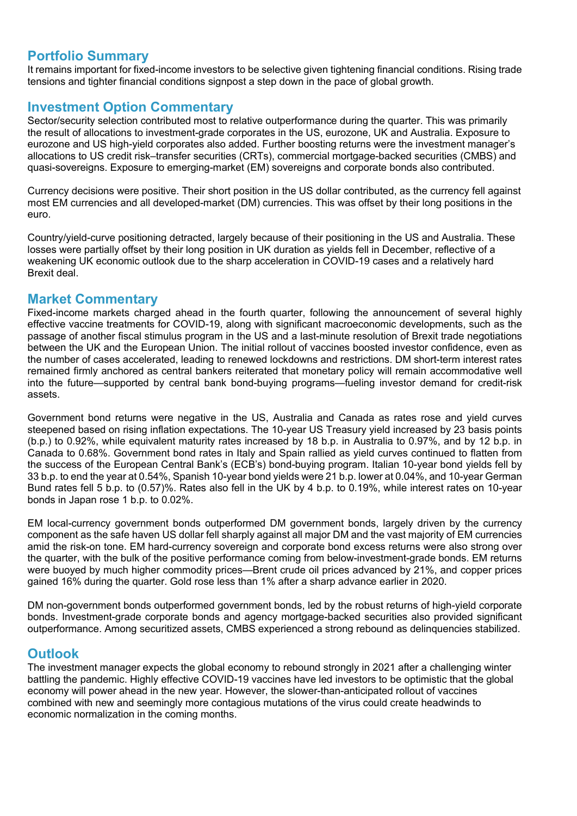#### **Portfolio Summary**

It remains important for fixed-income investors to be selective given tightening financial conditions. Rising trade tensions and tighter financial conditions signpost a step down in the pace of global growth.

#### **Investment Option Commentary**

Sector/security selection contributed most to relative outperformance during the quarter. This was primarily the result of allocations to investment-grade corporates in the US, eurozone, UK and Australia. Exposure to eurozone and US high-yield corporates also added. Further boosting returns were the investment manager's allocations to US credit risk–transfer securities (CRTs), commercial mortgage-backed securities (CMBS) and quasi-sovereigns. Exposure to emerging-market (EM) sovereigns and corporate bonds also contributed.

Currency decisions were positive. Their short position in the US dollar contributed, as the currency fell against most EM currencies and all developed-market (DM) currencies. This was offset by their long positions in the euro.

Country/yield-curve positioning detracted, largely because of their positioning in the US and Australia. These losses were partially offset by their long position in UK duration as yields fell in December, reflective of a weakening UK economic outlook due to the sharp acceleration in COVID-19 cases and a relatively hard Brexit deal.

#### **Market Commentary**

Fixed-income markets charged ahead in the fourth quarter, following the announcement of several highly effective vaccine treatments for COVID-19, along with significant macroeconomic developments, such as the passage of another fiscal stimulus program in the US and a last-minute resolution of Brexit trade negotiations between the UK and the European Union. The initial rollout of vaccines boosted investor confidence, even as the number of cases accelerated, leading to renewed lockdowns and restrictions. DM short-term interest rates remained firmly anchored as central bankers reiterated that monetary policy will remain accommodative well into the future—supported by central bank bond-buying programs—fueling investor demand for credit-risk assets.

Government bond returns were negative in the US, Australia and Canada as rates rose and yield curves steepened based on rising inflation expectations. The 10-year US Treasury yield increased by 23 basis points (b.p.) to 0.92%, while equivalent maturity rates increased by 18 b.p. in Australia to 0.97%, and by 12 b.p. in Canada to 0.68%. Government bond rates in Italy and Spain rallied as yield curves continued to flatten from the success of the European Central Bank's (ECB's) bond-buying program. Italian 10-year bond yields fell by 33 b.p. to end the year at 0.54%, Spanish 10-year bond yields were 21 b.p. lower at 0.04%, and 10-year German Bund rates fell 5 b.p. to (0.57)%. Rates also fell in the UK by 4 b.p. to 0.19%, while interest rates on 10-year bonds in Japan rose 1 b.p. to 0.02%.

EM local-currency government bonds outperformed DM government bonds, largely driven by the currency component as the safe haven US dollar fell sharply against all major DM and the vast majority of EM currencies amid the risk-on tone. EM hard-currency sovereign and corporate bond excess returns were also strong over the quarter, with the bulk of the positive performance coming from below-investment-grade bonds. EM returns were buoyed by much higher commodity prices—Brent crude oil prices advanced by 21%, and copper prices gained 16% during the quarter. Gold rose less than 1% after a sharp advance earlier in 2020.

DM non-government bonds outperformed government bonds, led by the robust returns of high-yield corporate bonds. Investment-grade corporate bonds and agency mortgage-backed securities also provided significant outperformance. Among securitized assets, CMBS experienced a strong rebound as delinquencies stabilized.

#### **Outlook**

The investment manager expects the global economy to rebound strongly in 2021 after a challenging winter battling the pandemic. Highly effective COVID-19 vaccines have led investors to be optimistic that the global economy will power ahead in the new year. However, the slower-than-anticipated rollout of vaccines combined with new and seemingly more contagious mutations of the virus could create headwinds to economic normalization in the coming months.